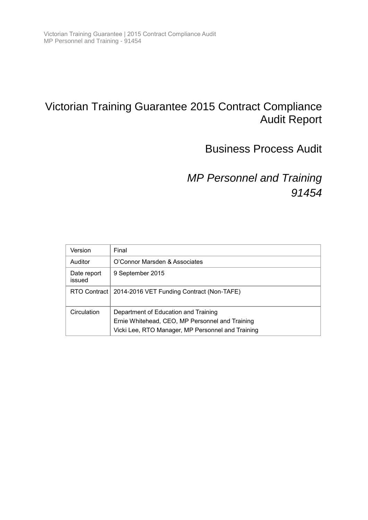# Victorian Training Guarantee 2015 Contract Compliance Audit Report

# Business Process Audit

*MP Personnel and Training 91454*

| Version               | Final                                                                                                                                        |
|-----------------------|----------------------------------------------------------------------------------------------------------------------------------------------|
| Auditor               | O'Connor Marsden & Associates                                                                                                                |
| Date report<br>issued | 9 September 2015                                                                                                                             |
|                       | RTO Contract   2014-2016 VET Funding Contract (Non-TAFE)                                                                                     |
| Circulation           | Department of Education and Training<br>Ernie Whitehead, CEO, MP Personnel and Training<br>Vicki Lee, RTO Manager, MP Personnel and Training |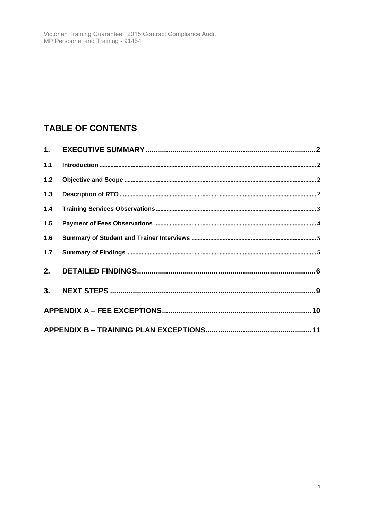# **TABLE OF CONTENTS**

| $1.1$ |  |
|-------|--|
| $1.2$ |  |
| 1.3   |  |
| $1.4$ |  |
| 1.5   |  |
| 1.6   |  |
| 1.7   |  |
|       |  |
|       |  |
|       |  |
|       |  |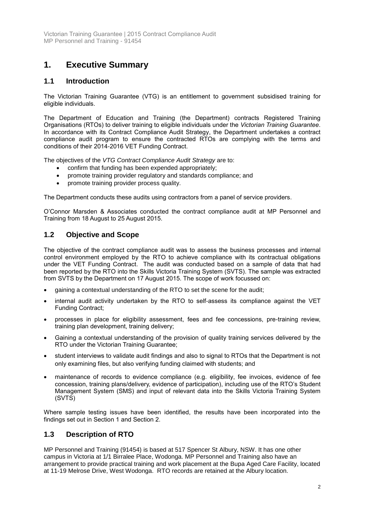## <span id="page-2-0"></span>**1. Executive Summary**

## <span id="page-2-1"></span>**1.1 Introduction**

The Victorian Training Guarantee (VTG) is an entitlement to government subsidised training for eligible individuals.

The Department of Education and Training (the Department) contracts Registered Training Organisations (RTOs) to deliver training to eligible individuals under the *Victorian Training Guarantee*. In accordance with its Contract Compliance Audit Strategy, the Department undertakes a contract compliance audit program to ensure the contracted RTOs are complying with the terms and conditions of their 2014-2016 VET Funding Contract.

The objectives of the *VTG Contract Compliance Audit Strategy* are to:

- confirm that funding has been expended appropriately;
- promote training provider regulatory and standards compliance; and
- promote training provider process quality.

The Department conducts these audits using contractors from a panel of service providers.

O'Connor Marsden & Associates conducted the contract compliance audit at MP Personnel and Training from 18 August to 25 August 2015.

### <span id="page-2-2"></span>**1.2 Objective and Scope**

The objective of the contract compliance audit was to assess the business processes and internal control environment employed by the RTO to achieve compliance with its contractual obligations under the VET Funding Contract. The audit was conducted based on a sample of data that had been reported by the RTO into the Skills Victoria Training System (SVTS). The sample was extracted from SVTS by the Department on 17 August 2015. The scope of work focussed on:

- gaining a contextual understanding of the RTO to set the scene for the audit;
- internal audit activity undertaken by the RTO to self-assess its compliance against the VET Funding Contract;
- processes in place for eligibility assessment, fees and fee concessions, pre-training review, training plan development, training delivery;
- Gaining a contextual understanding of the provision of quality training services delivered by the RTO under the Victorian Training Guarantee;
- student interviews to validate audit findings and also to signal to RTOs that the Department is not only examining files, but also verifying funding claimed with students; and
- maintenance of records to evidence compliance (e.g. eligibility, fee invoices, evidence of fee concession, training plans/delivery, evidence of participation), including use of the RTO's Student Management System (SMS) and input of relevant data into the Skills Victoria Training System (SVTS)

Where sample testing issues have been identified, the results have been incorporated into the findings set out in Section 1 and Section 2.

## <span id="page-2-3"></span>**1.3 Description of RTO**

MP Personnel and Training (91454) is based at 517 Spencer St Albury, NSW. It has one other campus in Victoria at 1/1 Birralee Place, Wodonga. MP Personnel and Training also have an arrangement to provide practical training and work placement at the Bupa Aged Care Facility, located at 11-19 Melrose Drive, West Wodonga. RTO records are retained at the Albury location.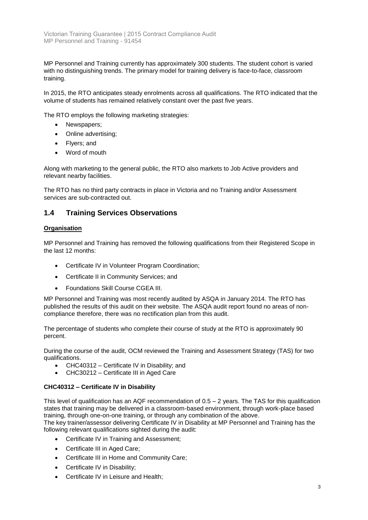MP Personnel and Training currently has approximately 300 students. The student cohort is varied with no distinguishing trends. The primary model for training delivery is face-to-face, classroom training.

In 2015, the RTO anticipates steady enrolments across all qualifications. The RTO indicated that the volume of students has remained relatively constant over the past five years.

The RTO employs the following marketing strategies:

- Newspapers;
- Online advertising;
- Flyers; and
- Word of mouth

Along with marketing to the general public, the RTO also markets to Job Active providers and relevant nearby facilities.

The RTO has no third party contracts in place in Victoria and no Training and/or Assessment services are sub-contracted out.

### <span id="page-3-0"></span>**1.4 Training Services Observations**

#### **Organisation**

MP Personnel and Training has removed the following qualifications from their Registered Scope in the last 12 months:

- Certificate IV in Volunteer Program Coordination;
- Certificate II in Community Services; and
- Foundations Skill Course CGEA III.

MP Personnel and Training was most recently audited by ASQA in January 2014. The RTO has published the results of this audit on their website. The ASQA audit report found no areas of noncompliance therefore, there was no rectification plan from this audit.

The percentage of students who complete their course of study at the RTO is approximately 90 percent.

During the course of the audit, OCM reviewed the Training and Assessment Strategy (TAS) for two qualifications.

- CHC40312 Certificate IV in Disability; and
- CHC30212 Certificate III in Aged Care

#### **CHC40312 – Certificate IV in Disability**

This level of qualification has an AQF recommendation of 0.5 – 2 years. The TAS for this qualification states that training may be delivered in a classroom-based environment, through work-place based training, through one-on-one training, or through any combination of the above.

The key trainer/assessor delivering Certificate IV in Disability at MP Personnel and Training has the following relevant qualifications sighted during the audit:

- Certificate IV in Training and Assessment;
- Certificate III in Aged Care;
- Certificate III in Home and Community Care:
- Certificate IV in Disability;
- Certificate IV in Leisure and Health;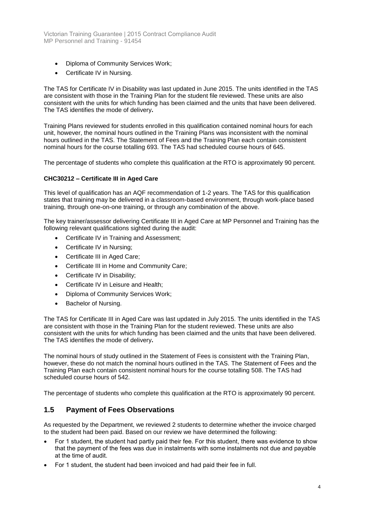- Diploma of Community Services Work;
- Certificate IV in Nursing.

The TAS for Certificate IV in Disability was last updated in June 2015. The units identified in the TAS are consistent with those in the Training Plan for the student file reviewed. These units are also consistent with the units for which funding has been claimed and the units that have been delivered. The TAS identifies the mode of delivery**.**

Training Plans reviewed for students enrolled in this qualification contained nominal hours for each unit, however, the nominal hours outlined in the Training Plans was inconsistent with the nominal hours outlined in the TAS. The Statement of Fees and the Training Plan each contain consistent nominal hours for the course totalling 693. The TAS had scheduled course hours of 645.

The percentage of students who complete this qualification at the RTO is approximately 90 percent.

#### **CHC30212 – Certificate III in Aged Care**

This level of qualification has an AQF recommendation of 1-2 years. The TAS for this qualification states that training may be delivered in a classroom-based environment, through work-place based training, through one-on-one training, or through any combination of the above.

The key trainer/assessor delivering Certificate III in Aged Care at MP Personnel and Training has the following relevant qualifications sighted during the audit:

- Certificate IV in Training and Assessment;
- Certificate IV in Nursing:
- Certificate III in Aged Care;
- Certificate III in Home and Community Care;
- Certificate IV in Disability;
- Certificate IV in Leisure and Health;
- Diploma of Community Services Work;
- Bachelor of Nursing.

The TAS for Certificate III in Aged Care was last updated in July 2015. The units identified in the TAS are consistent with those in the Training Plan for the student reviewed. These units are also consistent with the units for which funding has been claimed and the units that have been delivered. The TAS identifies the mode of delivery**.**

The nominal hours of study outlined in the Statement of Fees is consistent with the Training Plan, however, these do not match the nominal hours outlined in the TAS. The Statement of Fees and the Training Plan each contain consistent nominal hours for the course totalling 508. The TAS had scheduled course hours of 542.

The percentage of students who complete this qualification at the RTO is approximately 90 percent.

### <span id="page-4-0"></span>**1.5 Payment of Fees Observations**

As requested by the Department, we reviewed 2 students to determine whether the invoice charged to the student had been paid. Based on our review we have determined the following:

- For 1 student, the student had partly paid their fee. For this student, there was evidence to show that the payment of the fees was due in instalments with some instalments not due and payable at the time of audit.
- For 1 student, the student had been invoiced and had paid their fee in full.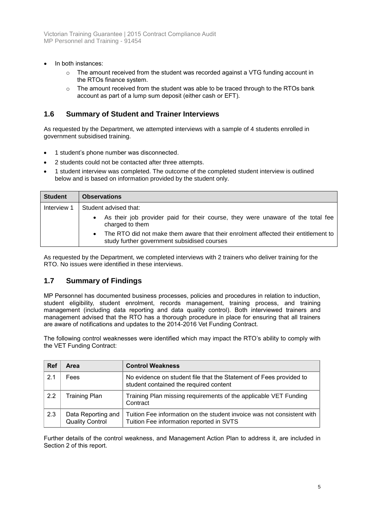- In both instances:
	- $\circ$  The amount received from the student was recorded against a VTG funding account in the RTOs finance system.
	- $\circ$  The amount received from the student was able to be traced through to the RTOs bank account as part of a lump sum deposit (either cash or EFT).

### <span id="page-5-0"></span>**1.6 Summary of Student and Trainer Interviews**

As requested by the Department, we attempted interviews with a sample of 4 students enrolled in government subsidised training.

- 1 student's phone number was disconnected.
- 2 students could not be contacted after three attempts.
- 1 student interview was completed. The outcome of the completed student interview is outlined below and is based on information provided by the student only.

| <b>Student</b> | <b>Observations</b>                                                                                                                            |
|----------------|------------------------------------------------------------------------------------------------------------------------------------------------|
| Interview 1    | Student advised that:                                                                                                                          |
|                | • As their job provider paid for their course, they were unaware of the total fee<br>charged to them                                           |
|                | The RTO did not make them aware that their enrolment affected their entitlement to<br>$\bullet$<br>study further government subsidised courses |

As requested by the Department, we completed interviews with 2 trainers who deliver training for the RTO. No issues were identified in these interviews.

#### <span id="page-5-1"></span>**1.7 Summary of Findings**

MP Personnel has documented business processes, policies and procedures in relation to induction, student eligibility, student enrolment, records management, training process, and training management (including data reporting and data quality control). Both interviewed trainers and management advised that the RTO has a thorough procedure in place for ensuring that all trainers are aware of notifications and updates to the 2014-2016 Vet Funding Contract.

The following control weaknesses were identified which may impact the RTO's ability to comply with the VET Funding Contract:

| <b>Ref</b>     | Area                                         | <b>Control Weakness</b>                                                                                            |
|----------------|----------------------------------------------|--------------------------------------------------------------------------------------------------------------------|
| 2 <sub>1</sub> | Fees                                         | No evidence on student file that the Statement of Fees provided to<br>student contained the required content       |
| 2.2            | <b>Training Plan</b>                         | Training Plan missing requirements of the applicable VET Funding<br>Contract                                       |
| 2.3            | Data Reporting and<br><b>Quality Control</b> | Tuition Fee information on the student invoice was not consistent with<br>Tuition Fee information reported in SVTS |

Further details of the control weakness, and Management Action Plan to address it, are included in Section 2 of this report.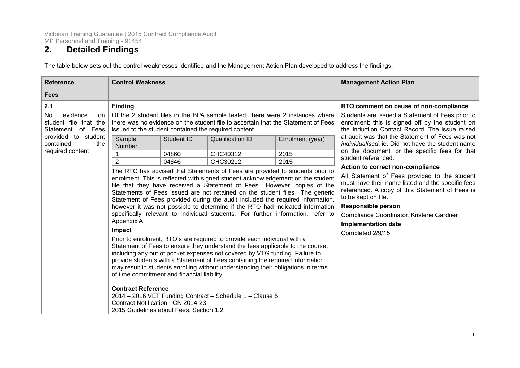## **2. Detailed Findings**

The table below sets out the control weaknesses identified and the Management Action Plan developed to address the findings:

<span id="page-6-0"></span>

| <b>Reference</b>                                                                                                                         | <b>Control Weakness</b>                                                                                                                                                                                                                                                                |                              |                                                                                                                                                                                                                                                                                                                                                                                                                                                                                                                                                                                                                                                                                                                                                                                                                                                                                                                                                                                                                                                                                                                                                                                                                                                                                            | <b>Management Action Plan</b>    |                                                                                                                                                                                                                                                                                                                                                                                                                                                                                                                                                                                                                                                                                                                                 |
|------------------------------------------------------------------------------------------------------------------------------------------|----------------------------------------------------------------------------------------------------------------------------------------------------------------------------------------------------------------------------------------------------------------------------------------|------------------------------|--------------------------------------------------------------------------------------------------------------------------------------------------------------------------------------------------------------------------------------------------------------------------------------------------------------------------------------------------------------------------------------------------------------------------------------------------------------------------------------------------------------------------------------------------------------------------------------------------------------------------------------------------------------------------------------------------------------------------------------------------------------------------------------------------------------------------------------------------------------------------------------------------------------------------------------------------------------------------------------------------------------------------------------------------------------------------------------------------------------------------------------------------------------------------------------------------------------------------------------------------------------------------------------------|----------------------------------|---------------------------------------------------------------------------------------------------------------------------------------------------------------------------------------------------------------------------------------------------------------------------------------------------------------------------------------------------------------------------------------------------------------------------------------------------------------------------------------------------------------------------------------------------------------------------------------------------------------------------------------------------------------------------------------------------------------------------------|
| <b>Fees</b>                                                                                                                              |                                                                                                                                                                                                                                                                                        |                              |                                                                                                                                                                                                                                                                                                                                                                                                                                                                                                                                                                                                                                                                                                                                                                                                                                                                                                                                                                                                                                                                                                                                                                                                                                                                                            |                                  |                                                                                                                                                                                                                                                                                                                                                                                                                                                                                                                                                                                                                                                                                                                                 |
| 2.1<br>No<br>evidence<br>on<br>student file that the<br>Statement of Fees<br>provided to student<br>contained<br>the<br>required content | <b>Finding</b><br>issued to the student contained the required content.<br>Sample<br>Number<br>2<br>Appendix A.<br>Impact<br>of time commitment and financial liability.<br><b>Contract Reference</b><br>Contract Notification - CN 2014-23<br>2015 Guidelines about Fees, Section 1.2 | Student ID<br>04860<br>04846 | Of the 2 student files in the BPA sample tested, there were 2 instances where<br>there was no evidence on the student file to ascertain that the Statement of Fees<br><b>Qualification ID</b><br>CHC40312<br>CHC30212<br>The RTO has advised that Statements of Fees are provided to students prior to<br>enrolment. This is reflected with signed student acknowledgement on the student<br>file that they have received a Statement of Fees. However, copies of the<br>Statements of Fees issued are not retained on the student files. The generic<br>Statement of Fees provided during the audit included the required information,<br>however it was not possible to determine if the RTO had indicated information<br>specifically relevant to individual students. For further information, refer to<br>Prior to enrolment, RTO's are required to provide each individual with a<br>Statement of Fees to ensure they understand the fees applicable to the course,<br>including any out of pocket expenses not covered by VTG funding. Failure to<br>provide students with a Statement of Fees containing the required information<br>may result in students enrolling without understanding their obligations in terms<br>2014 - 2016 VET Funding Contract - Schedule 1 - Clause 5 | Enrolment (year)<br>2015<br>2015 | RTO comment on cause of non-compliance<br>Students are issued a Statement of Fees prior to<br>enrolment; this is signed off by the student on<br>the Induction Contact Record. The issue raised<br>at audit was that the Statement of Fees was not<br>individualised, ie. Did not have the student name<br>on the document, or the specific fees for that<br>student referenced.<br>Action to correct non-compliance<br>All Statement of Fees provided to the student<br>must have their name listed and the specific fees<br>referenced. A copy of this Statement of Fees is<br>to be kept on file.<br><b>Responsible person</b><br>Compliance Coordinator, Kristene Gardner<br><b>Implementation date</b><br>Completed 2/9/15 |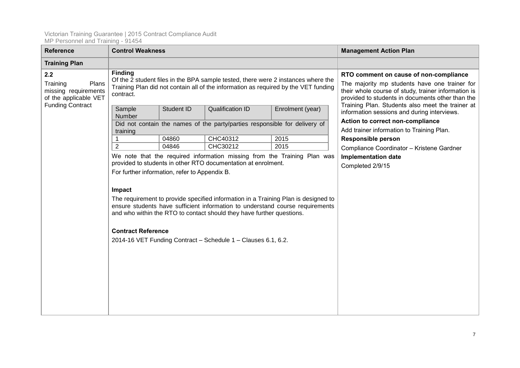| <b>Reference</b>                                                                                     | <b>Control Weakness</b>                                                              |            |                                                                                                                                                                                                         |                                                                                                                                                                                                                                                        | <b>Management Action Plan</b>                                                   |
|------------------------------------------------------------------------------------------------------|--------------------------------------------------------------------------------------|------------|---------------------------------------------------------------------------------------------------------------------------------------------------------------------------------------------------------|--------------------------------------------------------------------------------------------------------------------------------------------------------------------------------------------------------------------------------------------------------|---------------------------------------------------------------------------------|
| <b>Training Plan</b>                                                                                 |                                                                                      |            |                                                                                                                                                                                                         |                                                                                                                                                                                                                                                        |                                                                                 |
| 2.2<br>Training<br>Plans<br>missing requirements<br>of the applicable VET<br><b>Funding Contract</b> | <b>Finding</b><br>contract.<br>Sample                                                | Student ID | Of the 2 student files in the BPA sample tested, there were 2 instances where the<br>Training Plan did not contain all of the information as required by the VET funding<br><b>Qualification ID</b>     | RTO comment on cause of non-compliance<br>The majority mp students have one trainer for<br>their whole course of study, trainer information is<br>provided to students in documents other than the<br>Training Plan. Students also meet the trainer at |                                                                                 |
|                                                                                                      | Number                                                                               |            |                                                                                                                                                                                                         | Enrolment (year)<br>Did not contain the names of the party/parties responsible for delivery of                                                                                                                                                         | information sessions and during interviews.<br>Action to correct non-compliance |
|                                                                                                      | training                                                                             |            |                                                                                                                                                                                                         |                                                                                                                                                                                                                                                        | Add trainer information to Training Plan.                                       |
|                                                                                                      |                                                                                      | 04860      | CHC40312                                                                                                                                                                                                | 2015                                                                                                                                                                                                                                                   | <b>Responsible person</b>                                                       |
|                                                                                                      | $\overline{2}$                                                                       | 04846      | CHC30212                                                                                                                                                                                                | 2015                                                                                                                                                                                                                                                   | Compliance Coordinator - Kristene Gardner                                       |
|                                                                                                      | For further information, refer to Appendix B.<br>Impact<br><b>Contract Reference</b> |            | provided to students in other RTO documentation at enrolment.<br>and who within the RTO to contact should they have further questions.<br>2014-16 VET Funding Contract - Schedule 1 - Clauses 6.1, 6.2. | We note that the required information missing from the Training Plan was<br>The requirement to provide specified information in a Training Plan is designed to<br>ensure students have sufficient information to understand course requirements        | <b>Implementation date</b><br>Completed 2/9/15                                  |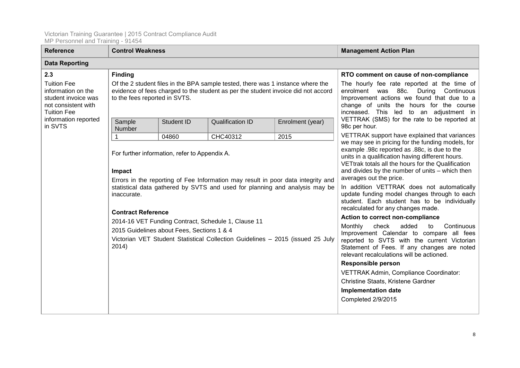<span id="page-8-0"></span>

| <b>Reference</b>                                                                                             | <b>Control Weakness</b>       |                                               |                                                                                                                                                                      |                                                                                                                                                                                                                                      | <b>Management Action Plan</b>                                                                                                                                                                                                                                                             |  |  |  |
|--------------------------------------------------------------------------------------------------------------|-------------------------------|-----------------------------------------------|----------------------------------------------------------------------------------------------------------------------------------------------------------------------|--------------------------------------------------------------------------------------------------------------------------------------------------------------------------------------------------------------------------------------|-------------------------------------------------------------------------------------------------------------------------------------------------------------------------------------------------------------------------------------------------------------------------------------------|--|--|--|
| <b>Data Reporting</b>                                                                                        |                               |                                               |                                                                                                                                                                      |                                                                                                                                                                                                                                      |                                                                                                                                                                                                                                                                                           |  |  |  |
| 2.3                                                                                                          | <b>Finding</b>                |                                               |                                                                                                                                                                      |                                                                                                                                                                                                                                      | RTO comment on cause of non-compliance                                                                                                                                                                                                                                                    |  |  |  |
| <b>Tuition Fee</b><br>information on the<br>student invoice was<br>not consistent with<br><b>Tuition Fee</b> | to the fees reported in SVTS. |                                               | Of the 2 student files in the BPA sample tested, there was 1 instance where the<br>evidence of fees charged to the student as per the student invoice did not accord | The hourly fee rate reported at the time of<br>enrolment was 88c. During Continuous<br>Improvement actions we found that due to a<br>change of units the hours for the course<br>increased. This led to an adjustment in             |                                                                                                                                                                                                                                                                                           |  |  |  |
| information reported<br>in SVTS                                                                              | Sample<br>Number              | Student ID                                    | <b>Qualification ID</b>                                                                                                                                              | Enrolment (year)                                                                                                                                                                                                                     | VETTRAK (SMS) for the rate to be reported at<br>98c per hour.                                                                                                                                                                                                                             |  |  |  |
|                                                                                                              |                               | 04860                                         | CHC40312                                                                                                                                                             | 2015                                                                                                                                                                                                                                 | VETTRAK support have explained that variances                                                                                                                                                                                                                                             |  |  |  |
|                                                                                                              | Impact                        | For further information, refer to Appendix A. | Errors in the reporting of Fee Information may result in poor data integrity and                                                                                     |                                                                                                                                                                                                                                      | we may see in pricing for the funding models, for<br>example .98c reported as .88c, is due to the<br>units in a qualification having different hours.<br>VETtrak totals all the hours for the Qualification<br>and divides by the number of units – which then<br>averages out the price. |  |  |  |
|                                                                                                              | inaccurate.                   |                                               | statistical data gathered by SVTS and used for planning and analysis may be                                                                                          | In addition VETTRAK does not automatically<br>update funding model changes through to each<br>student. Each student has to be individually<br>recalculated for any changes made.                                                     |                                                                                                                                                                                                                                                                                           |  |  |  |
|                                                                                                              | <b>Contract Reference</b>     |                                               | 2014-16 VET Funding Contract, Schedule 1, Clause 11                                                                                                                  | Action to correct non-compliance                                                                                                                                                                                                     |                                                                                                                                                                                                                                                                                           |  |  |  |
|                                                                                                              | 2014)                         | 2015 Guidelines about Fees, Sections 1 & 4    | Victorian VET Student Statistical Collection Guidelines - 2015 (issued 25 July                                                                                       | added<br>Monthly<br>check<br>Continuous<br>to<br>Improvement Calendar to compare all fees<br>reported to SVTS with the current Victorian<br>Statement of Fees. If any changes are noted<br>relevant recalculations will be actioned. |                                                                                                                                                                                                                                                                                           |  |  |  |
|                                                                                                              |                               |                                               |                                                                                                                                                                      |                                                                                                                                                                                                                                      | <b>Responsible person</b>                                                                                                                                                                                                                                                                 |  |  |  |
|                                                                                                              |                               |                                               |                                                                                                                                                                      |                                                                                                                                                                                                                                      | VETTRAK Admin, Compliance Coordinator:                                                                                                                                                                                                                                                    |  |  |  |
|                                                                                                              |                               |                                               |                                                                                                                                                                      |                                                                                                                                                                                                                                      | Christine Staats, Kristene Gardner                                                                                                                                                                                                                                                        |  |  |  |
|                                                                                                              |                               |                                               |                                                                                                                                                                      |                                                                                                                                                                                                                                      | <b>Implementation date</b>                                                                                                                                                                                                                                                                |  |  |  |
|                                                                                                              |                               |                                               |                                                                                                                                                                      |                                                                                                                                                                                                                                      | Completed 2/9/2015                                                                                                                                                                                                                                                                        |  |  |  |
|                                                                                                              |                               |                                               |                                                                                                                                                                      |                                                                                                                                                                                                                                      |                                                                                                                                                                                                                                                                                           |  |  |  |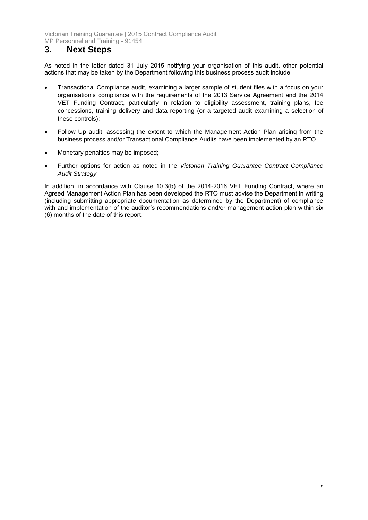## **3. Next Steps**

As noted in the letter dated 31 July 2015 notifying your organisation of this audit, other potential actions that may be taken by the Department following this business process audit include:

- Transactional Compliance audit, examining a larger sample of student files with a focus on your organisation's compliance with the requirements of the 2013 Service Agreement and the 2014 VET Funding Contract, particularly in relation to eligibility assessment, training plans, fee concessions, training delivery and data reporting (or a targeted audit examining a selection of these controls);
- Follow Up audit, assessing the extent to which the Management Action Plan arising from the business process and/or Transactional Compliance Audits have been implemented by an RTO
- Monetary penalties may be imposed;
- Further options for action as noted in the *Victorian Training Guarantee Contract Compliance Audit Strategy*

In addition, in accordance with Clause 10.3(b) of the 2014-2016 VET Funding Contract, where an Agreed Management Action Plan has been developed the RTO must advise the Department in writing (including submitting appropriate documentation as determined by the Department) of compliance with and implementation of the auditor's recommendations and/or management action plan within six (6) months of the date of this report.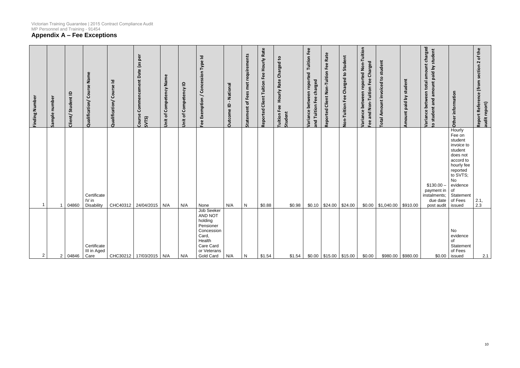## <span id="page-10-0"></span>**Appendix A – Fee Exceptions**

| Finding Number | Sample number  | Student ID<br>Client/ | Course Name<br>Qualification/      | Course Id<br>Qualification/ | Commencement Date (as per<br>Course<br>SVTS) | Jnit of Competency Name | Competency ID<br>Unit of | Fee Exemption / Concession Type Id                                                                                      | - National<br><b>Dutcome ID</b> | requirements<br>met<br>Fees<br>đ<br>ement<br>Stat | <b>Hourly Rate</b><br><b>Client Tuition Fee</b><br>Reported | Hourly Rate Charged to<br><b>Tuition Fee</b><br>Student | <b>Tuition Fee</b><br>reported<br>and Tuition Fee charged<br>between<br>Variance | Reported Client Non-Tuition Fee Rate | <b>Non-Tuition Fee Charged to Student</b> | Variance between reported Non-Tuition<br>Fee and Non-Tuition Fee Charged | <b>Total Amount invoiced to student</b> | Amount paid by student | amount charged<br>o student and amount paid by student<br>total<br>between<br>Variance | information<br>Other                                                                                                                                                                 | of the<br>$\boldsymbol{\sim}$<br>Report Reference (from section<br>audit report) |
|----------------|----------------|-----------------------|------------------------------------|-----------------------------|----------------------------------------------|-------------------------|--------------------------|-------------------------------------------------------------------------------------------------------------------------|---------------------------------|---------------------------------------------------|-------------------------------------------------------------|---------------------------------------------------------|----------------------------------------------------------------------------------|--------------------------------------|-------------------------------------------|--------------------------------------------------------------------------|-----------------------------------------|------------------------|----------------------------------------------------------------------------------------|--------------------------------------------------------------------------------------------------------------------------------------------------------------------------------------|----------------------------------------------------------------------------------|
| -1             |                | 04860                 | Certificate<br>IV in<br>Disability |                             | CHC40312   24/04/2015   N/A                  |                         | N/A                      | None                                                                                                                    | N/A                             | ${\sf N}$                                         | \$0.88                                                      | \$0.98                                                  |                                                                                  | $$0.10$ $$24.00$ $$24.00$            |                                           |                                                                          | $$0.00$ \ \$1,040.00 \                  | \$910.00               | \$130.00<br>payment in<br>instalments;<br>due date<br>post audit                       | Hourly<br>Fee on<br>student<br>invoice to<br>student<br>does not<br>accord to<br>hourly fee<br>reported<br>to SVTS;<br>No<br>evidence<br>$\circ$ f<br>Statement<br>of Fees<br>issued | 2.1, 2.3                                                                         |
| $\overline{2}$ | 2 <sup>1</sup> | 04846                 | Certificate<br>III in Aged<br>Care |                             | CHC30212   17/03/2015   N/A                  |                         | N/A                      | Job Seeker<br>AND NOT<br>holding<br>Pensioner<br>Concession<br>Card,<br>Health<br>Care Card<br>or Veterans<br>Gold Card | N/A                             | N                                                 | \$1.54                                                      | \$1.54                                                  |                                                                                  | $$0.00$   \$15.00   \$15.00          |                                           | \$0.00                                                                   | $$980.00$ \$980.00                      |                        |                                                                                        | No<br>evidence<br>of<br>Statement<br>of Fees<br>$$0.00$ issued                                                                                                                       | 2.1                                                                              |